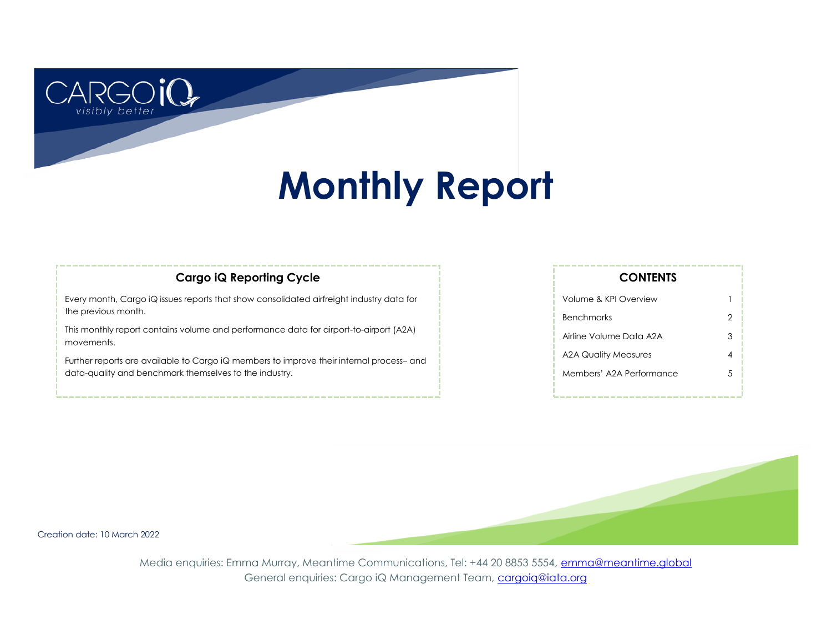# **Monthly Report**

### **Cargo iQ Reporting Cycle**

Every month, Cargo iQ issues reports that show consolidated airfreight industry data for the previous month.

This monthly report contains volume and performance data for airport-to-airport (A2A) movements.

Further reports are available to Cargo iQ members to improve their internal process– and data-quality and benchmark themselves to the industry.

| Volume & KPI Overview    |   |
|--------------------------|---|
| <b>Benchmarks</b>        | 2 |
| Airline Volume Data A2A  | 3 |
| A2A Quality Measures     |   |
| Members' A2A Performance | 5 |
|                          |   |

**CONTENTS**

Creation date: 10 March 2022

better

Media enquiries: Emma Murray, Meantime Communications, Tel: +44 20 8853 5554, [emma@meantime.global](mailto:emma@meantimecomms.com?subject=Cargo%20iQ%20enquiry) General enquiries: Cargo iQ Management Team, [cargoiq@iata.org](mailto:cargoiq@iata.org?subject=Monthly%20report%20enquiry)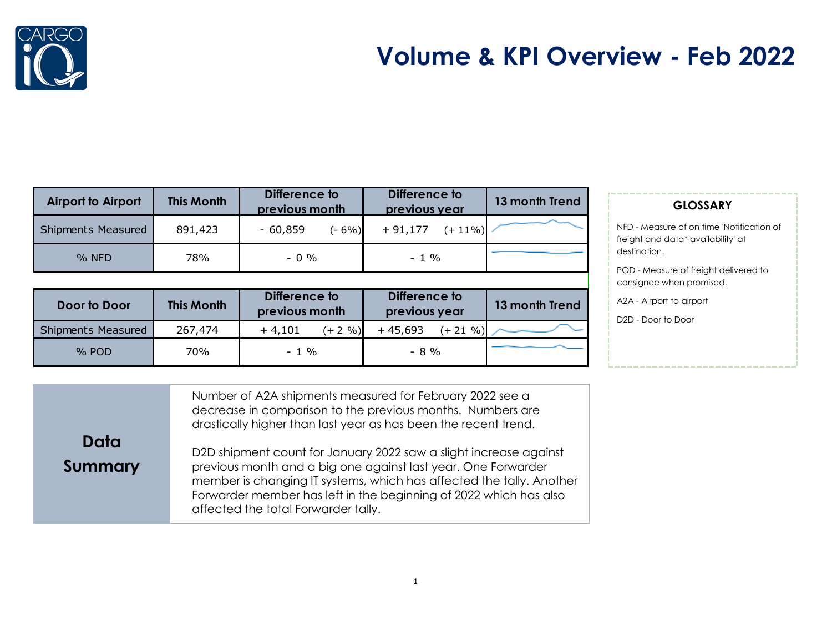

## **Volume & KPI Overview - Feb 2022**

| <b>Airport to Airport</b> | <b>This Month</b> | Difference to<br>previous month | Difference to<br>previous year | 13 month Trend |
|---------------------------|-------------------|---------------------------------|--------------------------------|----------------|
| <b>Shipments Measured</b> | 891,423           | $-60,859$<br>$(-6%)$            | $+91,177$<br>$(+ 11\%)$        |                |
| $%$ NFD                   | 78%               | $-0.96$                         | $-1\%$                         |                |

| Door to Door              | <b>This Month</b> | Difference to<br>previous month | Difference to<br>previous year | 13 month Trend |
|---------------------------|-------------------|---------------------------------|--------------------------------|----------------|
| <b>Shipments Measured</b> | 267,474           | $+4,101$<br>$(+ 2 \, \% )$      | $+45,693$<br>$(+ 21 \%)$       |                |
| $%$ POD                   | 70%               | $-1\%$                          | $-8\%$                         |                |

### **GLOSSARY**

NFD - Measure of on time 'Notification of freight and data\* availability' at destination.

POD - Measure of freight delivered to consignee when promised.

A2A - Airport to airport

D2D - Door to Door

|         | Number of A2A shipments measured for February 2022 see a<br>decrease in comparison to the previous months. Numbers are<br>drastically higher than last year as has been the recent trend. |
|---------|-------------------------------------------------------------------------------------------------------------------------------------------------------------------------------------------|
| Data    | D2D shipment count for January 2022 saw a slight increase against                                                                                                                         |
| Summary | previous month and a big one against last year. One Forwarder<br>member is changing IT systems, which has affected the tally. Another                                                     |
|         | Forwarder member has left in the beginning of 2022 which has also                                                                                                                         |

affected the total Forwarder tally.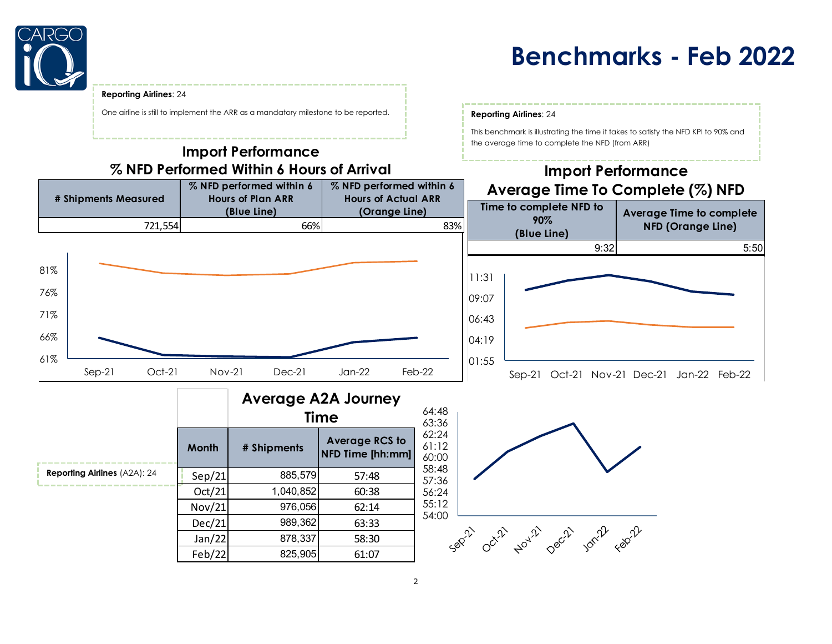

### **Benchmarks - Feb 2022**

This benchmark is illustrating the time it takes to satisfy the NFD KPI to 90% and

the average time to complete the NFD (from ARR)

#### **Reporting Airlines**: 24

One airline is still to implement the ARR as a mandatory milestone to be reported. **Reporting Airlines**: 24

### **Import Performance % NFD Performed Within 6 Hours of Arrival**



|                                     |        |             | <b>Average A2A Journey</b><br><b>Time</b> |
|-------------------------------------|--------|-------------|-------------------------------------------|
|                                     | Month  | # Shipments | <b>Average RCS to</b><br>NFD Time [hh:mm] |
| <b>Reporting Airlines (A2A): 24</b> | Sep/21 | 885,579     | 57:48                                     |
|                                     | Oct/21 | 1,040,852   | 60:38                                     |
|                                     | Nov/21 | 976,056     | 62:14                                     |
|                                     | Dec/21 | 989,362     | 63:33                                     |
|                                     | Jan/22 | 878,337     | 58:30                                     |
|                                     | Feb/22 | 825,905     | 61:07                                     |

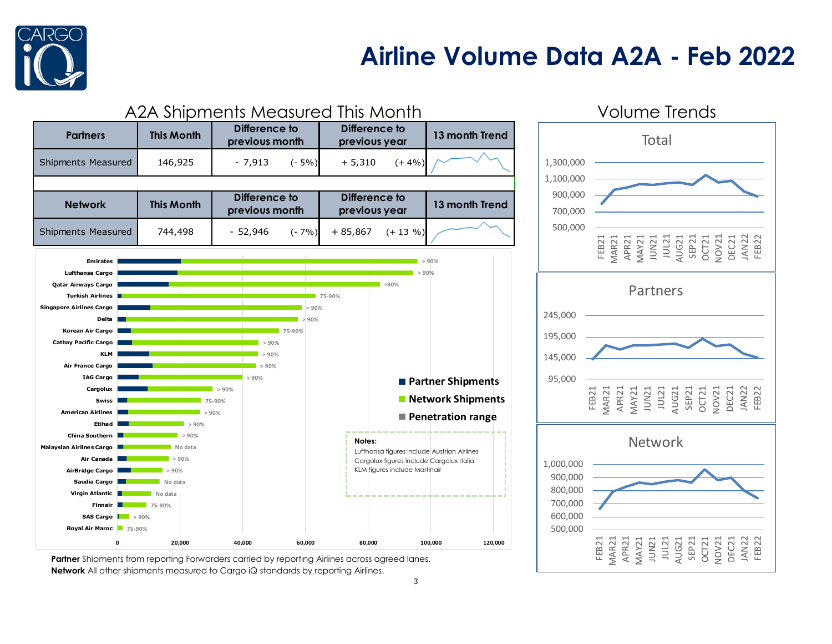

## **Airline Volume Data A2A - Feb 2022**



**Partner** Shipments from reporting Forwarders carried by reporting Airlines across agreed lanes. **Network** All other shipments measured to Cargo iQ standards by reporting Airlines.

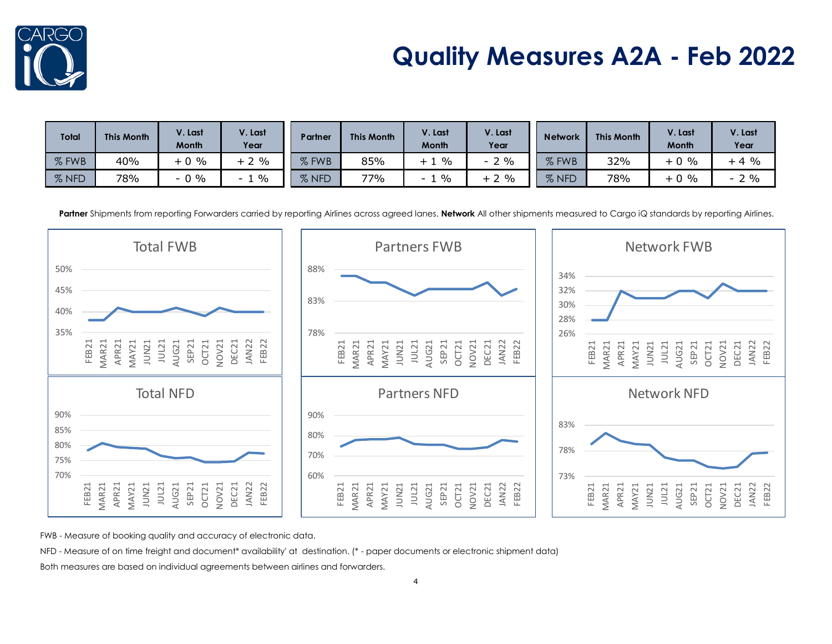

# **Quality Measures A2A - Feb 2022**

| <b>Total</b> | <b>This Month</b> | V. Last<br><b>Month</b>        | V. Last<br>Year    | Partner          | <b>This Month</b> | V. Last<br><b>Month</b> | V. Last<br>Year        | <b>Network</b> | <b>This Month</b> | V. Last<br><b>Month</b> | /. Last<br>Year |
|--------------|-------------------|--------------------------------|--------------------|------------------|-------------------|-------------------------|------------------------|----------------|-------------------|-------------------------|-----------------|
| % FWB        | 40%               | $0 \frac{9}{6}$                | $\%$<br>$+$ $\sim$ | 07<br>FWB        | 85%               | $\frac{0}{0}$<br>ᅩ      | $2\%$<br>$\sim$ $\sim$ | $%$ FWB        | 32%               | $\%$<br>$+0$            | $+4%$           |
| % NFD        | 78%               | 9%<br>$\overline{\phantom{0}}$ | $\frac{0}{0}$      | <b>NFD</b><br>07 | 77%               | $\%$<br>$\sim$          | $2\%$<br>$+$ $\sim$    | % NFD<br>07    | 78%               | $\%$<br>$+0$            | $2\%$<br>$\sim$ |

Partner Shipments from reporting Forwarders carried by reporting Airlines across agreed lanes. Network All other shipments measured to Cargo iQ standards by reporting Airlines.



FWB - Measure of booking quality and accuracy of electronic data.

NFD - Measure of on time freight and document\* availability' at destination. (\* - paper documents or electronic shipment data)

Both measures are based on individual agreements between airlines and forwarders.